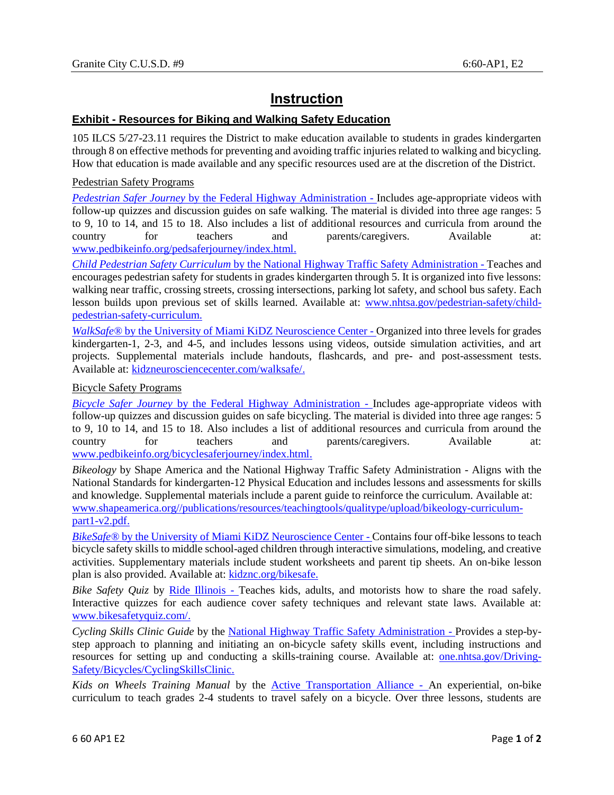## **Instruction**

## **Exhibit - Resources for Biking and Walking Safety Education**

105 ILCS 5/27-23.11 requires the District to make education available to students in grades kindergarten through 8 on effective methods for preventing and avoiding traffic injuries related to walking and bicycling. How that education is made available and any specific resources used are at the discretion of the District.

## Pedestrian Safety Programs

*Pedestrian Safer Journey* by the Federal Highway Administration - Includes age-appropriate videos with follow-up quizzes and discussion guides on safe walking. The material is divided into three age ranges: 5 to 9, 10 to 14, and 15 to 18. Also includes a list of additional resources and curricula from around the country for teachers and parents/caregivers. Available at: [www.pedbikeinfo.org/pedsaferjourney/index.html.](http://www.pedbikeinfo.org/pedsaferjourney/index.html)

*Child Pedestrian Safety Curriculum* by the National Highway Traffic Safety Administration - Teaches and encourages pedestrian safety for students in grades kindergarten through 5. It is organized into five lessons: walking near traffic, crossing streets, crossing intersections, parking lot safety, and school bus safety. Each lesson builds upon previous set of skills learned. Available at: [www.nhtsa.gov/pedestrian-safety/child](http://www.nhtsa.gov/pedestrian-safety/child-pedestrian-safety-curriculum)[pedestrian-safety-curriculum.](http://www.nhtsa.gov/pedestrian-safety/child-pedestrian-safety-curriculum)

*WalkSafe®* by the University of Miami KiDZ Neuroscience Center - Organized into three levels for grades kindergarten-1, 2-3, and 4-5, and includes lessons using videos, outside simulation activities, and art projects. Supplemental materials include handouts, flashcards, and pre- and post-assessment tests. Available at: [kidzneurosciencecenter.com/walksafe/.](http://kidzneurosciencecenter.com/walksafe/)

## Bicycle Safety Programs

*Bicycle Safer Journey* by the Federal Highway Administration - Includes age-appropriate videos with follow-up quizzes and discussion guides on safe bicycling. The material is divided into three age ranges: 5 to 9, 10 to 14, and 15 to 18. Also includes a list of additional resources and curricula from around the country for teachers and parents/caregivers. Available at: [www.pedbikeinfo.org/bicyclesaferjourney/index.html.](http://www.pedbikeinfo.org/bicyclesaferjourney/index.html)

*Bikeology* by Shape America and the National Highway Traffic Safety Administration - Aligns with the National Standards for kindergarten-12 Physical Education and includes lessons and assessments for skills and knowledge. Supplemental materials include a parent guide to reinforce the curriculum. Available at: [www.shapeamerica.org//publications/resources/teachingtools/qualitype/upload/bikeology-curriculum](http://www.shapeamerica.org/publications/resources/teachingtools/qualitype/upload/bikeology-curriculum-part1-v2.pdf)[part1-v2.pdf.](http://www.shapeamerica.org/publications/resources/teachingtools/qualitype/upload/bikeology-curriculum-part1-v2.pdf)

*BikeSafe®* by the University of Miami KiDZ Neuroscience Center - Contains four off-bike lessons to teach bicycle safety skills to middle school-aged children through interactive simulations, modeling, and creative activities. Supplementary materials include student worksheets and parent tip sheets. An on-bike lesson plan is also provided. Available at: [kidznc.org/bikesafe.](http://kidznc.org/bikesafe)

*Bike Safety Quiz* by Ride Illinois - Teaches kids, adults, and motorists how to share the road safely. Interactive quizzes for each audience cover safety techniques and relevant state laws. Available at: [www.bikesafetyquiz.com/.](http://www.bikesafetyquiz.com/)

*Cycling Skills Clinic Guide* by the National Highway Traffic Safety Administration - Provides a step-bystep approach to planning and initiating an on-bicycle safety skills event, including instructions and resources for setting up and conducting a skills-training course. Available at: [one.nhtsa.gov/Driving-](https://one.nhtsa.gov/Driving-Safety/Bicycles/CyclingSkillsClinic)[Safety/Bicycles/CyclingSkillsClinic.](https://one.nhtsa.gov/Driving-Safety/Bicycles/CyclingSkillsClinic)

*Kids on Wheels Training Manual* by the [Active Transportation Alliance](http://www.activetrans.org/) - An experiential, on-bike curriculum to teach grades 2-4 students to travel safely on a bicycle. Over three lessons, students are